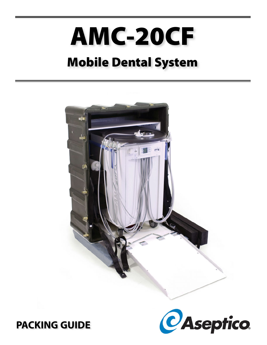# **AMC-20CF**

# **Mobile Dental System**





**PACKING GUIDE**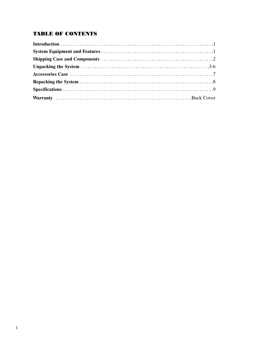# **TABLE OF CONTENTS**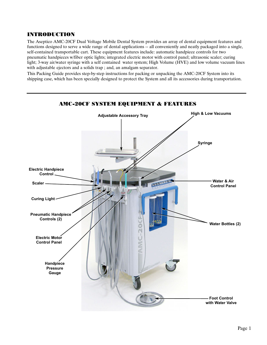# INTRODUCTION

The Aseptico AMC-20CF Dual Voltage Mobile Dental System provides an array of dental equipment features and functions designed to serve a wide range of dental applications -- all conveniently and neatly packaged into a single, self-contained transportable cart. These equipment features include: automatic handpiece controls for two pneumatic handpieces w/fiber optic lights; integrated electric motor with control panel; ultrasonic scaler; curing light; 3-way air/water syringe with a self contained water system; High Volume (HVE) and low volume vacuum lines with adjustable ejectors and a solids trap ; and, an amalgam separator.

This Packing Guide provides step-by-step instructions for packing or unpacking the AMC-20CF System into its shipping case, which has been specially designed to protect the System and all its accessories during transportation.

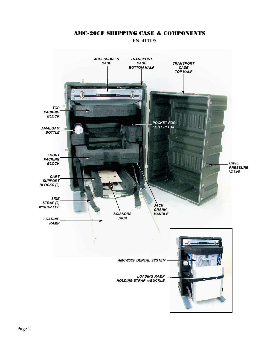# AMC-20CF SHIPPING CASE & COMPONENTS

PN: 410195

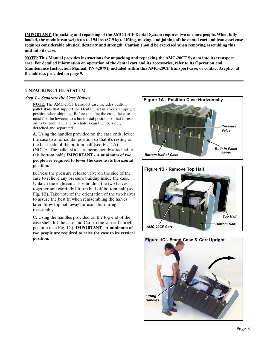**IMPORTANT: Unpacking and repacking of the AMC-20CF Dental System requires two or more people. When fully loaded, the module can weigh up to 194 lbs (87.9 kg). Lifting, moving, and joining of the dental cart and transport case requires considerable physical dexterity and strength. Caution should be exercised when removing/assembling this unit into its case.**

**NOTE: This Manual provides instructions for unpacking and repacking the AMC-20CF System into its transport case. For detailed information on operation of the dental cart and its accessories, refer to its Operation and Maintenance Instruction Manual, PN 420791, included within this AMC-20CF transport case, or contact Aseptico at the address provided on page 9.**

#### **UNPACKING THE SYSTEM**

#### *Step 1 - Separate the Case Halves:*

**NOTE:** The AMC-20CF transport case includes built-in pallet skids that support the Dental Cart in a vertical upright position when shipping. Before opening the case, the case must first be lowered to a horizontal position so that it rests on its bottom half. The two halves can then be safely detached and separated.

**A.** Using the handles provided on the case ends, lower the case to a horizontal position so that it's resting on the back side of the bottom half (see Fig. 1A) . (NOTE: The pallet skids are permanently attached to this bottom half.) **IMPORTANT - A minimum of two people are required to lower the case to its horizontal position.**

**B.** Press the pressure release valve on the side of the case to relieve any pressure buildup inside the case. Unlatch the eighteen clasps holding the two halves together and carefully lift top half off bottom half (see Fig. 1B). Take note of the orientation of the two halves to assure the best fit when reassembling the halves later. Stow top half away for use later during reassembly.

**C.** Using the handles provided on the top end of the case shell, lift the case and Cart to the vertical upright position (see Fig. 1C). **IMPORTANT - A minimum of two people are required to raise the case to its vertical position.**





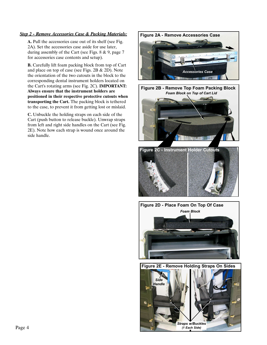#### *Step 2 - Remove Accessories Case & Packing Materials:* **Figure 2A - Remove Accessories Case**

**A.** Pull the accessories case out of its shelf (see Fig. 2A). Set the accessories case aside for use later, during assembly of the Cart (see Figs. 8 & 9, page 7 for accessories case contents and setup).

**B.** Carefully lift foam packing block from top of Cart and place on top of case (see Figs. 2B & 2D). Note the orientation of the two cutouts in the block to the corresponding dental instrument holders located on the Cart's rotating arms (see Fig. 2C). **IMPORTANT: Always ensure that the instrument holders are positioned in their respective protective cutouts when transporting the Cart.** The packing block is tethered to the case, to prevent it from getting lost or mislaid.

**C.** Unbuckle the holding straps on each side of the Cart (push button to release buckle). Unwrap straps from left and right side handles on the Cart (see Fig. 2E). Note how each strap is wound once around the side handle.



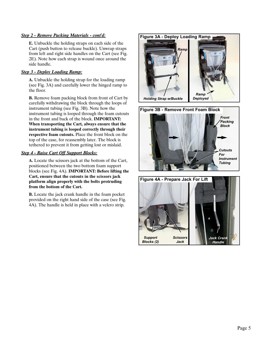#### *Step 2 - Remove Packing Materials - cont'd:*

**E.** Unbuckle the holding straps on each side of the Cart (push button to release buckle). Unwrap straps from left and right side handles on the Cart (see Fig. 2E). Note how each strap is wound once around the side handle.

#### *Step 3 - Deploy Loading Ramp:*

**A.** Unbuckle the holding strap for the loading ramp (see Fig. 3A) and carefully lower the hinged ramp to the floor.

**B.** Remove foam packing block from front of Cart by carefully withdrawing the block through the loops of instrument tubing (see Fig. 3B). Note how the instrument tubing is looped through the foam cutouts in the front and back of the block. **IMPORTANT: When transporting the Cart, always ensure that the instrument tubing is looped correctly through their respective foam cutouts.** Place the front block on the top of the case, for reassembly later. The block is tethered to prevent it from getting lost or mislaid.

#### *Step 4 - Raise Cart Off Support Blocks:*

**A.** Locate the scissors jack at the bottom of the Cart, positioned between the two bottom foam support blocks (see Fig. 4A). **IMPORTANT: Before lifting the Cart, ensure that the cutouts in the scissors jack platform align properly with the bolts protruding from the bottom of the Cart.** 

**B.** Locate the jack crank handle in the foam pocket provided on the right hand side of the case (see Fig. 4A). The handle is held in place with a velcro strip.





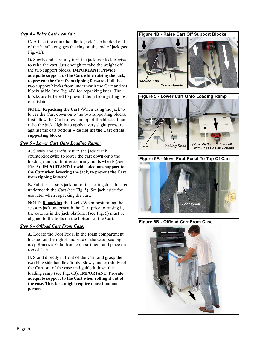#### *Step 4 - Raise Cart - cont'd :*

**C.** Attach the crank handle to jack. The hooked end of the handle engages the ring on the end of jack (see Fig. 4B).

**D.** Slowly and carefully turn the jack crank clockwise to raise the cart, just enough to take the weight off the two support blocks. **IMPORTANT: Provide adequate support to the Cart while raising the jack, to prevent the Cart from tipping forward.** Pull the two support blocks from underneath the Cart and set blocks aside (see Fig. 4B) for repacking later. The blocks are tethered to prevent them from getting lost or mislaid.

**NOTE: Repacking the Cart -**When using the jack to lower the Cart down onto the two supporting blocks, first allow the Cart to rest on top of the blocks, then raise the jack slightly to apply a very slight pressure against the cart bottom -- **do not lift the Cart off its supporting blocks**.

#### *Step 5 - Lower Cart Onto Loading Ramp:*

**A.** Slowly and carefully turn the jack crank counterclockwise to lower the cart down onto the loading ramp, until it rests firmly on its wheels (see Fig. 5). **IMPORTANT: Provide adequate support to the Cart when lowering the jack, to prevent the Cart from tipping forward.**

**B.** Pull the scissors jack out of its jacking dock located underneath the Cart (see Fig. 5). Set jack aside for use later when repacking the cart.

**NOTE: Repacking the Cart -** When positioning the scissors jack underneath the Cart prior to raising it, the cutouts in the jack platform (see Fig. 5) must be aligned to the bolts on the bottom of the Cart.

#### *Step 6 - Offload Cart From Case:*

**A.** Locate the Foot Pedal in the foam compartment located on the right-hand side of the case (see Fig. 6A). Remove Pedal from compartment and place on top of Cart.

**B.** Stand directly in front of the Cart and grasp the two blue side handles firmly. Slowly and carefully roll the Cart out of the case and guide it down the loading ramp (see Fig. 6B). **IMPORTANT: Provide adequate support to the Cart when rolling it out of the case. This task might require more than one person.**

#### **Figure 4B - Raise Cart Off Support Blocks**







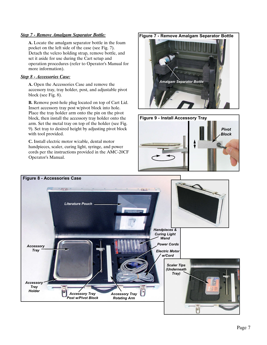#### *Step 7 - Remove Amalgam Separator Bottle:*

**A.** Locate the amalgam separator bottle in the foam pocket on the left side of the case (see Fig. 7). Detach the velcro holding strap, remove bottle, and set it aside for use during the Cart setup and operation procedures (refer to Operator's Manual for more information).

#### *Step 8 - Accessories Case:*

**A.** Open the Accessories Case and remove the accessory tray, tray holder, post, and adjustable pivot block (see Fig. 8).

**B.** Remove post-hole plug located on top of Cart Lid. Insert accessory tray post w/pivot block into hole. Place the tray holder arm onto the pin on the pivot block, then install the accessory tray holder onto the arm. Set the metal tray on top of the holder (see Fig. 9). Set tray to desired height by adjusting pivot block with tool provided.

**C.** Install electric motor w/cable, dental motor handpieces, scaler, curing light, syringe, and power cords per the instructions provided in the AMC-20CF Operator's Manual.

**Figure 7 - Remove Amalgam Separator Bottle**





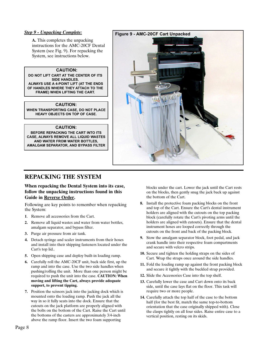#### *Step 9 - Unpacking Complete:*

**A.** This completes the unpacking instructions for the AMC-20CF Dental System (see Fig. 9). For repacking the System, see instructions below.

#### **CAUTION:**

**DO NOT LIFT CART AT THE CENTER OF ITS SIDE HANDLES. ALWAYS USE A 4-POINT LIFT (AT THE ENDS OF HANDLES WHERE THEY ATTACH TO THE FRAME) WHEN LIFTING THE CART.**

#### **CAUTION:**

**WHEN TRANSPORTING CASE, DO NOT PLACE HEAVY OBJECTS ON TOP OF CASE.**

#### **CAUTION:**

**BEFORE REPACKING THE CART INTO ITS CASE, ALWAYS REMOVE ALL LIQUID WASTES AND WATER FROM WATER BOTTLES, AMALGAM SEPARATOR, AND BYPASS FILTER**



# **REPACKING THE SYSTEM**

#### **When repacking the Dental System into its case, follow the unpacking instructions found in this Guide in Reverse Order.**

Following are key points to remember when repacking the System:

- **1**. Remove all accessories from the Cart.
- **2.** Remove all liquid wastes and water from water bottles, amalgam separator, and bypass filter.
- **3.** Purge air pressure from air tank.
- **4.** Detach syringe and scaler instruments from their hoses and install into their shipping fasteners located under the Cart's top lid..
- **5.** Open shipping case and deploy built-in loading ramp.
- **6.** Carefully roll the AMC-20CF unit, back side first, up the ramp and into the case. Use the two side handles when pushing/rolling the unit. More than one person might be required to push the unit into the case. **CAUTION: When moving and lifting the Cart, always provide adequate support, to prevent tipping.**
- **7.** Position the scissors jack into the jacking dock which is mounted onto the loading ramp. Push the jack all the way in so it fully seats into the dock. Ensure that the cutouts on the jack platform are properly aligned with the bolts on the bottom of the Cart. Raise the Cart until the bottoms of the casters are approximately 3/4-inch above the ramp floor. Insert the two foam supporting

blocks under the cart. Lower the jack until the Cart rests on the blocks, then gently snug the jack back up against the bottom of the Cart.

- **8.** Install the protective foam packing blocks on the front and top of the Cart. Ensure the Cart's dental instrument holders are aligned with the cutouts on the top packing block (carefully rotate the Cart's pivoting arms until the holders are aligned with cutouts). Ensure that the dental instrument hoses are looped correctly through the cutouts on the front and back of the packing block.
- **9.** Stow the amalgam separator block, foot pedal, and jack crank handle into their respective foam compartments and secure with velcro strips.
- **10.** Secure and tighten the holding straps on the sides of Cart. Wrap the straps once around the side handles.
- **11.** Fold the loading ramp up against the front packing block and secure it tightly with the buckled strap provided.
- **12.** Slide the Accessories Case into the top shelf.
- **13.** Carefully lower the case and Cart down onto its back side, until the case lays flat on the floor. This task will require two or more people.
- **14.** Carefully attach the top half of the case to the bottom half (for the best fit, match the same top-to-bottom orientation that the case originally shipped with). Close the clasps tightly on all four sides. Raise entire case to a vertical position, resting on its skids.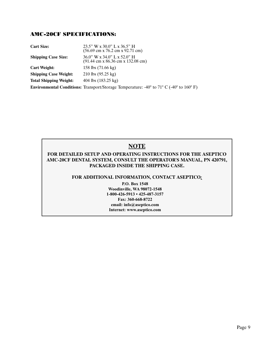## AMC-20CF SPECIFICATIONS:

| <b>Cart Size:</b>             | $23.5$ " W x $30.0$ " L x $36.5$ " H<br>$(56.69 \text{ cm} \times 76.2 \text{ cm} \times 92.71 \text{ cm})$   |
|-------------------------------|---------------------------------------------------------------------------------------------------------------|
| <b>Shipping Case Size:</b>    | $36.0$ " W x $34.0$ " L x $52.0$ " H<br>$(91.44 \text{ cm} \times 86.36 \text{ cm} \times 132.08 \text{ cm})$ |
| <b>Cart Weight:</b>           | 158 lbs (71.66 kg)                                                                                            |
| <b>Shipping Case Weight:</b>  | $210$ lbs $(95.25 \text{ kg})$                                                                                |
| <b>Total Shipping Weight:</b> | 404 lbs $(183.25 \text{ kg})$                                                                                 |
|                               | <b>Environmental Conditions:</b> Transport/Storage Temperature: -40° to 71° C (-40° to 160° F)                |

# **NOTE**

## **FOR DETAILED SETUP AND OPERATING INSTRUCTIONS FOR THE ASEPTICO AMC-20CF DENTAL SYSTEM, CONSULT THE OPERATOR'S MANUAL, PN 420791, PACKAGED INSIDE THE SHIPPING CASE.**

#### **FOR ADDITIONAL INFORMATION, CONTACT ASEPTICO***:*

**P.O. Box 1548 Woodinville, WA 98072-1548 1-800-426-5913 • 425-487-3157 Fax: 360-668-8722 email: info@aseptico.com Internet: www.aseptico.com**